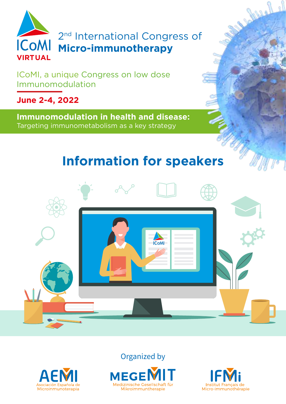

2<sup>nd</sup> International Congress of **Micro-immunotherapy**

ICoMI, a unique Congress on low dose Immunomodulation

**June 2-4, 2022**

**Immunomodulation in health and disease:** Targeting immunometabolism as a key strategy

# **Information for speakers**



Organized by







Company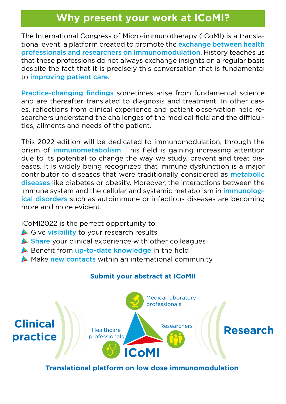## **Why present your work at ICoMI?**

The International Congress of Micro-immunotherapy (ICoMI) is a translational event, a platform created to promote the exchange between health professionals and researchers on immunomodulation. History teaches us that these professions do not always exchange insights on a regular basis despite the fact that it is precisely this conversation that is fundamental to improving patient care.

Practice-changing findings sometimes arise from fundamental science and are thereafter translated to diagnosis and treatment. In other cases, reflections from clinical experience and patient observation help researchers understand the challenges of the medical field and the difficulties, ailments and needs of the patient.

This 2022 edition will be dedicated to immunomodulation, through the prism of *immunometabolism*. This field is gaining increasing attention due to its potential to change the way we study, prevent and treat diseases. It is widely being recognized that immune dysfunction is a major contributor to diseases that were traditionally considered as metabolic diseases like diabetes or obesity. Moreover, the interactions between the immune system and the cellular and systemic metabolism in *immunolog*ical disorders such as autoimmune or infectious diseases are becoming more and more evident.

ICoMI2022 is the perfect opportunity to:

- Give visibility to your research results
- Share your clinical experience with other colleagues
- Benefit from up-to-date knowledge in the field
- A Make new contacts within an international community

#### **Submit your abstract at ICoMI!**



**Translational platform on low dose immunomodulation**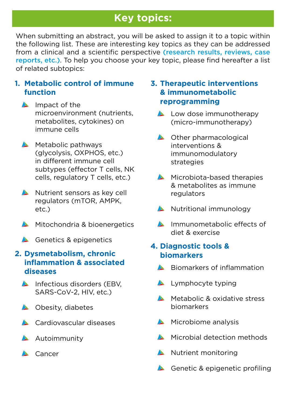## **Key topics:**

When submitting an abstract, you will be asked to assign it to a topic within the following list. These are interesting key topics as they can be addressed from a clinical and a scientific perspective (research results, reviews, case reports, etc.). To help you choose your key topic, please find hereafter a list of related subtopics:

#### **1. Metabolic control of immune function**

- $\triangle$  Impact of the microenvironment (nutrients, metabolites, cytokines) on immune cells
- $\triangle$  Metabolic pathways (glycolysis, OXPHOS, etc.) in different immune cell subtypes (effector T cells, NK cells, regulatory T cells, etc.)
- Nutrient sensors as key cell regulators (mTOR, AMPK, etc.)
- Mitochondria & bioenergetics
- Genetics & epigenetics

#### **2. Dysmetabolism, chronic inflammation & associated diseases**

- $\triangle$  Infectious disorders (EBV, SARS-CoV-2, HIV, etc.)
- **A** Obesity, diabetes
- **A** Cardiovascular diseases
- $\triangle$  Autoimmunity
- **A** Cancer

#### **3. Therapeutic interventions & immunometabolic reprogramming**

- **Low dose immunotherapy** (micro-immunotherapy)
- **A** Other pharmacological interventions & immunomodulatory strategies
- Microbiota-based therapies & metabolites as immune regulators
- Nutritional immunology
- **Immunometabolic effects of** diet & exercise

### **4. Diagnostic tools & biomarkers**

- $\triangle$  Biomarkers of inflammation
- **Lymphocyte typing**
- **Metabolic & oxidative stress** biomarkers
- $\triangle$  Microbiome analysis
- **Microbial detection methods**
- Nutrient monitoring
- Genetic & epigenetic profiling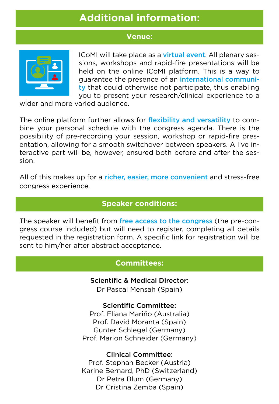## **Additional information:**

#### **Venue:**



ICoMI will take place as a virtual event. All plenary sessions, workshops and rapid-fire presentations will be held on the online ICoMI platform. This is a way to guarantee the presence of an international community that could otherwise not participate, thus enabling you to present your research/clinical experience to a

wider and more varied audience.

The online platform further allows for flexibility and versatility to combine your personal schedule with the congress agenda. There is the possibility of pre-recording your session, workshop or rapid-fire presentation, allowing for a smooth switchover between speakers. A live interactive part will be, however, ensured both before and after the session.

All of this makes up for a richer, easier, more convenient and stress-free congress experience.

### **Speaker conditions:**

The speaker will benefit from free access to the congress (the pre-congress course included) but will need to register, completing all details requested in the registration form. A specific link for registration will be sent to him/her after abstract acceptance.

#### **Committees:**

Scientific & Medical Director:

Dr Pascal Mensah (Spain)

#### Scientific Committee:

Prof. Eliana Mariño (Australia) Prof. David Moranta (Spain) Gunter Schlegel (Germany) Prof. Marion Schneider (Germany)

#### Clinical Committee:

Prof. Stephan Becker (Austria) Karine Bernard, PhD (Switzerland) Dr Petra Blum (Germany) Dr Cristina Zemba (Spain)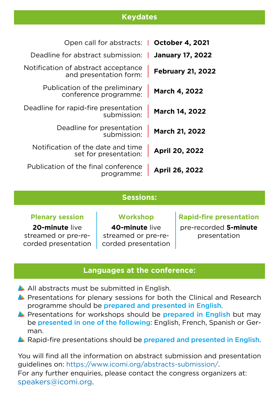#### **Keydates**

|                          | Open call for abstracts:   October 4, 2021                    |
|--------------------------|---------------------------------------------------------------|
| <b>January 17, 2022</b>  | Deadline for abstract submission:                             |
| <b>February 21, 2022</b> | Notification of abstract acceptance<br>and presentation form: |
| March 4, 2022            | Publication of the preliminary<br>conference programme:       |
| <b>March 14, 2022</b>    | Deadline for rapid-fire presentation<br>submission:           |
| March 21, 2022           | Deadline for presentation<br>submission:                      |
| April 20, 2022           | Notification of the date and time<br>set for presentation:    |
| <b>April 26, 2022</b>    | Publication of the final conference<br>programme:             |

#### **Sessions:**

**Plenary session Workshop Rapid-fire presentation**

**20-minute** live streamed or pre-recorded presentation

**40-minute** live streamed or pre-recorded presentation pre-recorded **5-minute** presentation

#### **Languages at the conference:**

- All abstracts must be submitted in English.
- **A** Presentations for plenary sessions for both the Clinical and Research programme should be prepared and presented in English.
- **Presentations for workshops should be prepared in English but may** be presented in one of the following: English, French, Spanish or German.
- **A** Rapid-fire presentations should be prepared and presented in English.

You will find all the information on abstract submission and presentation guidelines on: https://www.icomi.org/abstracts-submission/. For any further enquiries, please contact the congress organizers at: speakers@icomi.org.